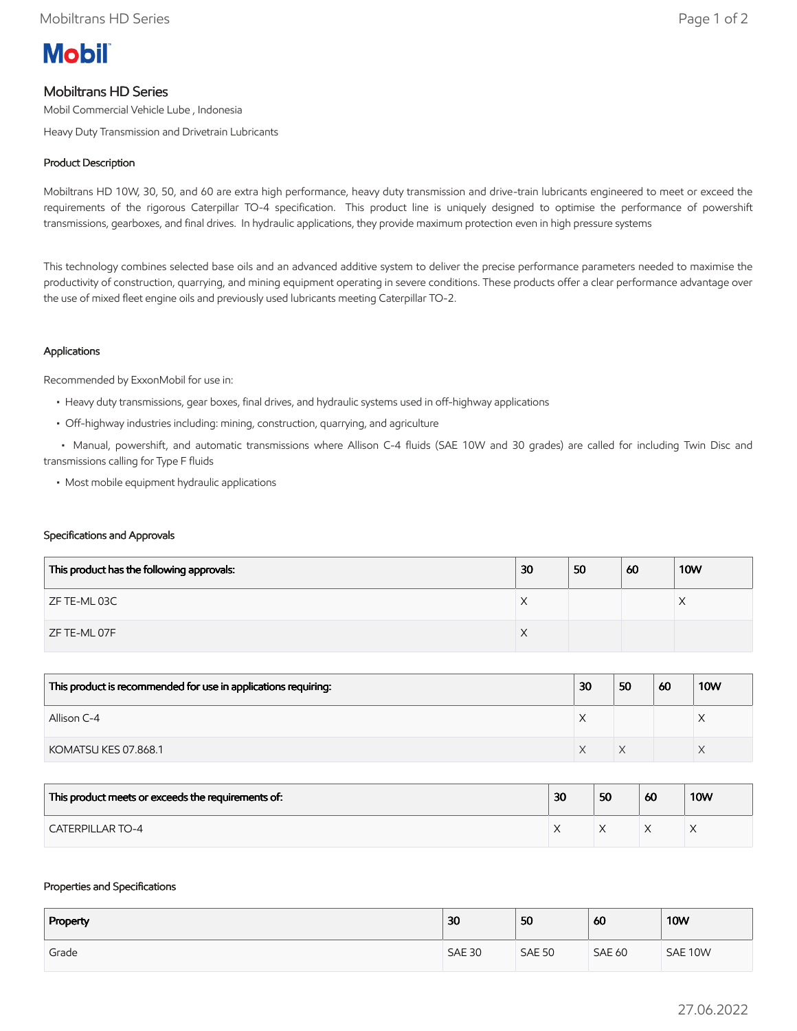

# Mobiltrans HD Series

Mobil Commercial Vehicle Lube , Indonesia

Heavy Duty Transmission and Drivetrain Lubricants

# Product Description

Mobiltrans HD 10W, 30, 50, and 60 are extra high performance, heavy duty transmission and drive-train lubricants engineered to meet or exceed the requirements of the rigorous Caterpillar TO-4 specification. This product line is uniquely designed to optimise the performance of powershift transmissions, gearboxes, and final drives. In hydraulic applications, they provide maximum protection even in high pressure systems

This technology combines selected base oils and an advanced additive system to deliver the precise performance parameters needed to maximise the productivity of construction, quarrying, and mining equipment operating in severe conditions. These products offer a clear performance advantage over the use of mixed fleet engine oils and previously used lubricants meeting Caterpillar TO-2.

## Applications

Recommended by ExxonMobil for use in:

- Heavy duty transmissions, gear boxes, final drives, and hydraulic systems used in off-highway applications
- Off-highway industries including: mining, construction, quarrying, and agriculture

 • Manual, powershift, and automatic transmissions where Allison C-4 fluids (SAE 10W and 30 grades) are called for including Twin Disc and transmissions calling for Type F fluids

• Most mobile equipment hydraulic applications

#### Specifications and Approvals

| This product has the following approvals: | 30 | 50 | 60 | <b>10W</b> |
|-------------------------------------------|----|----|----|------------|
| ZF TE-ML 03C                              | ⌒  |    |    |            |
| ZF TE-ML 07F                              | ∧  |    |    |            |

| This product is recommended for use in applications requiring: | 30 | 50 | 60 | <b>10W</b> |
|----------------------------------------------------------------|----|----|----|------------|
| Allison C-4                                                    |    |    |    |            |
| KOMATSU KES 07.868.1                                           |    |    |    |            |

| This product meets or exceeds the requirements of: | 30 | 50 | 60 | <b>10W</b> |
|----------------------------------------------------|----|----|----|------------|
| <b>CATERPILLAR TO-4</b>                            |    |    |    |            |

#### Properties and Specifications

| Property | 30            | 50            | 60            | <b>10W</b> |
|----------|---------------|---------------|---------------|------------|
| Grade    | <b>SAE 30</b> | <b>SAE 50</b> | <b>SAE 60</b> | SAE 10W    |